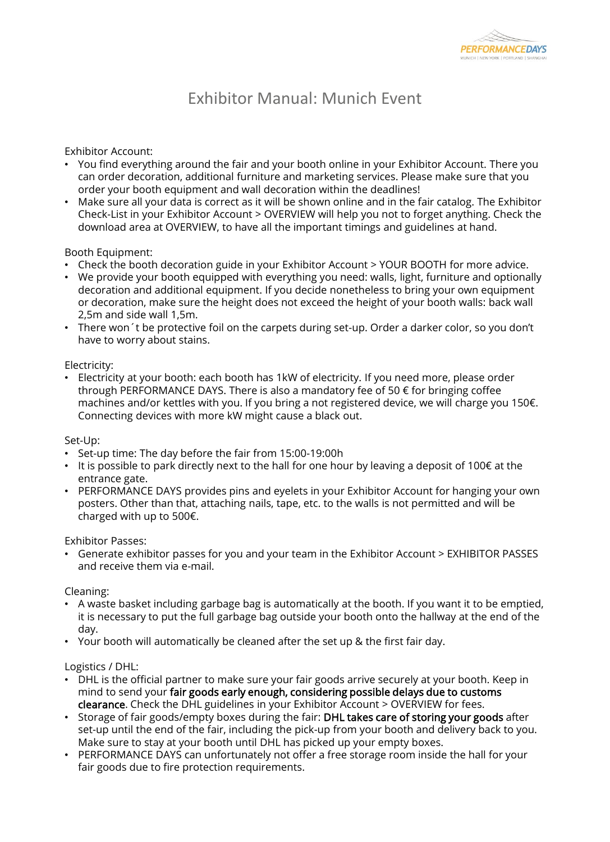

## Exhibitor Manual: Munich Event

Exhibitor Account:

- You find everything around the fair and your booth online in your Exhibitor Account. There you can order decoration, additional furniture and marketing services. Please make sure that you order your booth equipment and wall decoration within the deadlines!
- Make sure all your data is correct as it will be shown online and in the fair catalog. The Exhibitor Check-List in your Exhibitor Account > OVERVIEW will help you not to forget anything. Check the download area at OVERVIEW, to have all the important timings and guidelines at hand.

Booth Equipment:

- Check the booth decoration guide in your Exhibitor Account > YOUR BOOTH for more advice.
- We provide your booth equipped with everything you need: walls, light, furniture and optionally decoration and additional equipment. If you decide nonetheless to bring your own equipment or decoration, make sure the height does not exceed the height of your booth walls: back wall 2,5m and side wall 1,5m.
- There won´t be protective foil on the carpets during set-up. Order a darker color, so you don't have to worry about stains.

Electricity:

• Electricity at your booth: each booth has 1kW of electricity. If you need more, please order through PERFORMANCE DAYS. There is also a mandatory fee of 50 € for bringing coffee machines and/or kettles with you. If you bring a not registered device, we will charge you 150€. Connecting devices with more kW might cause a black out.

Set-Up:

- Set-up time: The day before the fair from 15:00-19:00h
- It is possible to park directly next to the hall for one hour by leaving a deposit of 100 $\epsilon$  at the entrance gate.
- PERFORMANCE DAYS provides pins and eyelets in your Exhibitor Account for hanging your own posters. Other than that, attaching nails, tape, etc. to the walls is not permitted and will be charged with up to 500€.

Exhibitor Passes:

• Generate exhibitor passes for you and your team in the Exhibitor Account > EXHIBITOR PASSES and receive them via e-mail.

Cleaning:

- A waste basket including garbage bag is automatically at the booth. If you want it to be emptied, it is necessary to put the full garbage bag outside your booth onto the hallway at the end of the day.
- Your booth will automatically be cleaned after the set up & the first fair day.

Logistics / DHL:

- DHL is the official partner to make sure your fair goods arrive securely at your booth. Keep in mind to send your fair goods early enough, considering possible delays due to customs clearance. Check the DHL guidelines in your Exhibitor Account > OVERVIEW for fees.
- Storage of fair goods/empty boxes during the fair: DHL takes care of storing your goods after set-up until the end of the fair, including the pick-up from your booth and delivery back to you. Make sure to stay at your booth until DHL has picked up your empty boxes.
- PERFORMANCE DAYS can unfortunately not offer a free storage room inside the hall for your fair goods due to fire protection requirements.